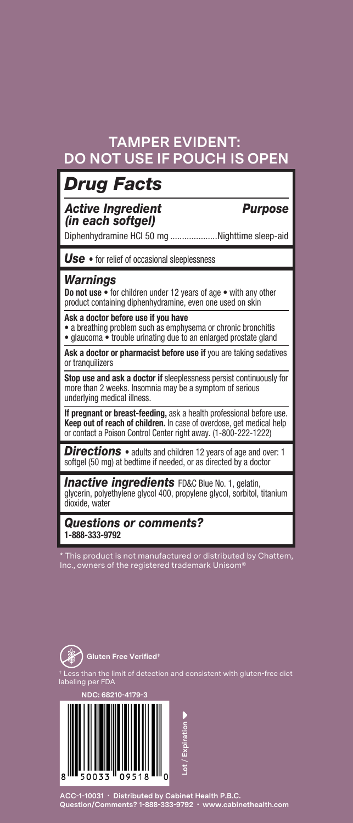#### **TAMPER EVIDENT: DO NOT USE IF POUCH IS OPEN**

### *Drug Facts*

#### *Active Ingredient Purpose (in each softgel)*

Diphenhydramine HCI 50 mg ....................Nighttime sleep-aid

*Use* • for relief of occasional sleeplessness

#### *Warnings*

**Do not use** • for children under 12 years of age • with any other product containing diphenhydramine, even one used on skin

#### **Ask a doctor before use if you have**

• a breathing problem such as emphysema or chronic bronchitis

• glaucoma • trouble urinating due to an enlarged prostate gland

Ask a doctor or pharmacist before use if you are taking sedatives or tranquilizers

**Stop use and ask a doctor if** sleeplessness persist continuously for more than 2 weeks. Insomnia may be a symptom of serious underlying medical illness.

**If pregnant or breast-feeding,** ask a health professional before use. **Keep out of reach of children.** In case of overdose, get medical help or contact a Poison Control Center right away. (1-800-222-1222)

*Directions* • adults and children 12 years of age and over: 1 softgel (50 mg) at bedtime if needed, or as directed by a doctor

**Inactive ingredients** FD&C Blue No. 1, gelatin, glycerin, polyethylene glycol 400, propylene glycol, sorbitol, titanium dioxide, water

*Questions or comments?*  **1-888-333-9792**

his product is not manufactured or distributed by Chattem, ince is not manuractured or distri<br>ers of the registered trademark Un



† Less than the limit of detection and consistent with gluten-free diet  $\text{er FDA}$ 



**ACC-1-10031 • Distributed by Cabinet Health P.B.C. Question/Comments? 1-888-333-9792 • www.cabinethealth.com**